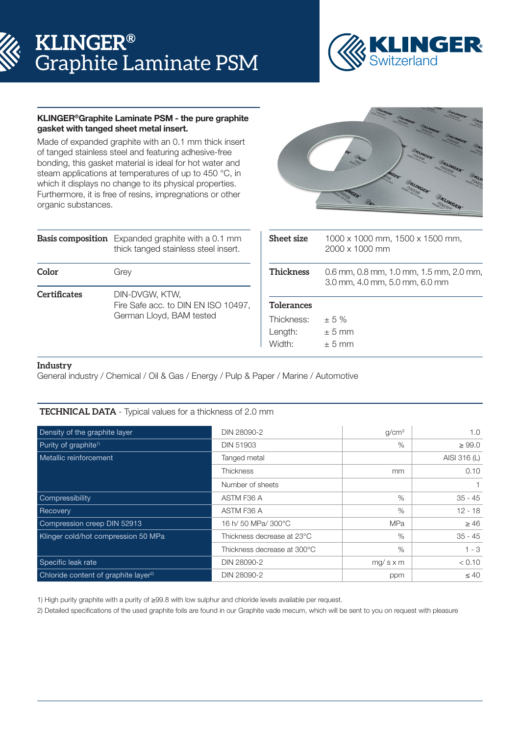# **KLINGER®** Graphite Laminate PSM



## KLINGER®Graphite Laminate PSM - the pure graphite gasket with tanged sheet metal insert.

Made of expanded graphite with an 0.1 mm thick insert of tanged stainless steel and featuring adhesive-free bonding, this gasket material is ideal for hot water and steam applications at temperatures of up to 450 °C, in which it displays no change to its physical properties. Furthermore, it is free of resins, impregnations or other organic substances.

|              | <b>Basis composition</b> Expanded graphite with a 0.1 mm<br>thick tanged stainless steel insert. |  |  |  |
|--------------|--------------------------------------------------------------------------------------------------|--|--|--|
| Color        | Grey                                                                                             |  |  |  |
| Certificates | DIN-DVGW, KTW,<br>Fire Safe acc. to DIN EN ISO 10497,<br>German Lloyd, BAM tested                |  |  |  |



| <b>Sheet size</b> | 1000 x 1000 mm, 1500 x 1500 mm,<br>$2000 \times 1000$ mm                  |  |  |  |
|-------------------|---------------------------------------------------------------------------|--|--|--|
| <b>Thickness</b>  | 0.6 mm, 0.8 mm, 1.0 mm, 1.5 mm, 2.0 mm,<br>3.0 mm, 4.0 mm, 5.0 mm, 6.0 mm |  |  |  |
| <b>Tolerances</b> |                                                                           |  |  |  |
| Thickness:        | $+5%$                                                                     |  |  |  |
| Length:           | $+5$ mm                                                                   |  |  |  |
| Width:            | $+5$ mm                                                                   |  |  |  |

### **Industry**

General industry / Chemical / Oil & Gas / Energy / Pulp & Paper / Marine / Automotive

## **TECHNICAL DATA** - Typical values for a thickness of 2.0 mm

| Density of the graphite layer                    | DIN 28090-2                 | q/cm <sup>3</sup> | 1.0          |
|--------------------------------------------------|-----------------------------|-------------------|--------------|
| Purity of graphite <sup>1)</sup>                 | <b>DIN 51903</b>            | $\%$              | $\geq 99.0$  |
| Metallic reinforcement                           | Tanged metal                |                   | AISI 316 (L) |
|                                                  | <b>Thickness</b>            | mm                | 0.10         |
|                                                  | Number of sheets            |                   |              |
| Compressibility                                  | ASTM F36 A                  | $\%$              | $35 - 45$    |
| Recovery                                         | ASTM F36 A                  | %                 | $12 - 18$    |
| Compression creep DIN 52913                      | 16 h/ 50 MPa/ 300°C         | <b>MPa</b>        | $\geq 46$    |
| Klinger cold/hot compression 50 MPa              | Thickness decrease at 23°C  | %                 | $35 - 45$    |
|                                                  | Thickness decrease at 300°C | $\%$              | $1 - 3$      |
| Specific leak rate                               | DIN 28090-2                 | $mg/s \times m$   | < 0.10       |
| Chloride content of graphite layer <sup>2)</sup> | DIN 28090-2                 | ppm               | $\leq 40$    |

1) High purity graphite with a purity of ≥99.8 with low sulphur and chloride levels available per request.

2) Detailed specifications of the used graphite foils are found in our Graphite vade mecum, which will be sent to you on request with pleasure